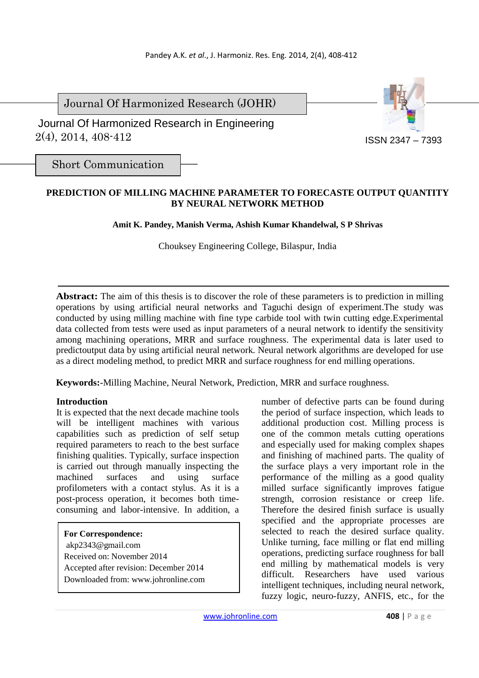Journal Of Harmonized Research (JOHR)

 2(4), 2014, 408-412 Journal Of Harmonized Research in Engineering



Short Communication

# **PREDICTION OF MILLING MACHINE PARAMETER TO FORECASTE OUTPUT QUANTITY BY NEURAL NETWORK METHOD**

**Amit K. Pandey, Manish Verma, Ashish Kumar Khandelwal, S P Shrivas** 

Chouksey Engineering College, Bilaspur, India

**Abstract:** The aim of this thesis is to discover the role of these parameters is to prediction in milling operations by using artificial neural networks and Taguchi design of experiment.The study was conducted by using milling machine with fine type carbide tool with twin cutting edge.Experimental data collected from tests were used as input parameters of a neural network to identify the sensitivity among machining operations, MRR and surface roughness. The experimental data is later used to predictoutput data by using artificial neural network. Neural network algorithms are developed for use as a direct modeling method, to predict MRR and surface roughness for end milling operations.

**Keywords:**-Milling Machine, Neural Network, Prediction, MRR and surface roughness.

## **Introduction**

It is expected that the next decade machine tools will be intelligent machines with various capabilities such as prediction of self setup required parameters to reach to the best surface finishing qualities. Typically, surface inspection is carried out through manually inspecting the machined surfaces and using surface profilometers with a contact stylus. As it is a post-process operation, it becomes both timeconsuming and labor-intensive. In addition, a

**For Correspondence:**  akp2343@gmail.com Received on: November 2014 Accepted after revision: December 2014 Downloaded from: www.johronline.com

number of defective parts can be found during the period of surface inspection, which leads to additional production cost. Milling process is one of the common metals cutting operations and especially used for making complex shapes and finishing of machined parts. The quality of the surface plays a very important role in the performance of the milling as a good quality milled surface significantly improves fatigue strength, corrosion resistance or creep life. Therefore the desired finish surface is usually specified and the appropriate processes are selected to reach the desired surface quality. Unlike turning, face milling or flat end milling operations, predicting surface roughness for ball end milling by mathematical models is very difficult. Researchers have used various intelligent techniques, including neural network, fuzzy logic, neuro-fuzzy, ANFIS, etc., for the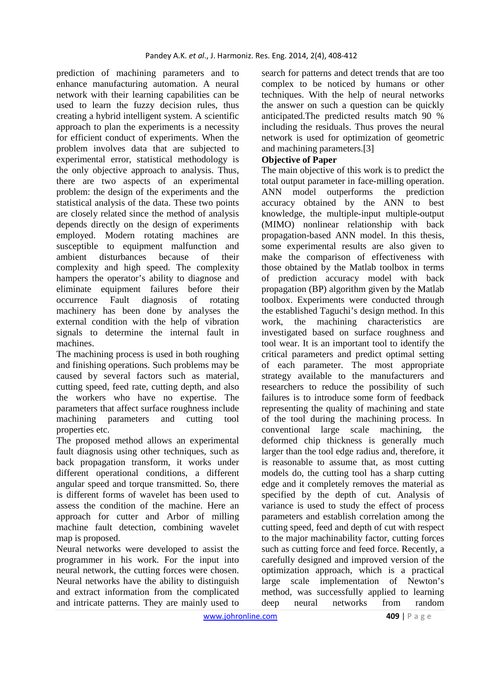prediction of machining parameters and to enhance manufacturing automation. A neural network with their learning capabilities can be used to learn the fuzzy decision rules, thus creating a hybrid intelligent system. A scientific approach to plan the experiments is a necessity for efficient conduct of experiments. When the problem involves data that are subjected to experimental error, statistical methodology is the only objective approach to analysis. Thus, there are two aspects of an experimental problem: the design of the experiments and the statistical analysis of the data. These two points are closely related since the method of analysis depends directly on the design of experiments employed. Modern rotating machines are susceptible to equipment malfunction and ambient disturbances because of their complexity and high speed. The complexity hampers the operator's ability to diagnose and eliminate equipment failures before their occurrence Fault diagnosis of rotating machinery has been done by analyses the external condition with the help of vibration signals to determine the internal fault in machines.

The machining process is used in both roughing and finishing operations. Such problems may be caused by several factors such as material, cutting speed, feed rate, cutting depth, and also the workers who have no expertise. The parameters that affect surface roughness include machining parameters and cutting tool properties etc.

The proposed method allows an experimental fault diagnosis using other techniques, such as back propagation transform, it works under different operational conditions, a different angular speed and torque transmitted. So, there is different forms of wavelet has been used to assess the condition of the machine. Here an approach for cutter and Arbor of milling machine fault detection, combining wavelet map is proposed.

Neural networks were developed to assist the programmer in his work. For the input into neural network, the cutting forces were chosen. Neural networks have the ability to distinguish and extract information from the complicated and intricate patterns. They are mainly used to

search for patterns and detect trends that are too complex to be noticed by humans or other techniques. With the help of neural networks the answer on such a question can be quickly anticipated.The predicted results match 90 % including the residuals. Thus proves the neural network is used for optimization of geometric and machining parameters.[3]

# **Objective of Paper**

The main objective of this work is to predict the total output parameter in face-milling operation. ANN model outperforms the prediction accuracy obtained by the ANN to best knowledge, the multiple-input multiple-output (MIMO) nonlinear relationship with back propagation-based ANN model. In this thesis, some experimental results are also given to make the comparison of effectiveness with those obtained by the Matlab toolbox in terms of prediction accuracy model with back propagation (BP) algorithm given by the Matlab toolbox. Experiments were conducted through the established Taguchi's design method. In this work, the machining characteristics are investigated based on surface roughness and tool wear. It is an important tool to identify the critical parameters and predict optimal setting of each parameter. The most appropriate strategy available to the manufacturers and researchers to reduce the possibility of such failures is to introduce some form of feedback representing the quality of machining and state of the tool during the machining process. In conventional large scale machining, the deformed chip thickness is generally much larger than the tool edge radius and, therefore, it is reasonable to assume that, as most cutting models do, the cutting tool has a sharp cutting edge and it completely removes the material as specified by the depth of cut. Analysis of variance is used to study the effect of process parameters and establish correlation among the cutting speed, feed and depth of cut with respect to the major machinability factor, cutting forces such as cutting force and feed force. Recently, a carefully designed and improved version of the optimization approach, which is a practical large scale implementation of Newton's method, was successfully applied to learning deep neural networks from random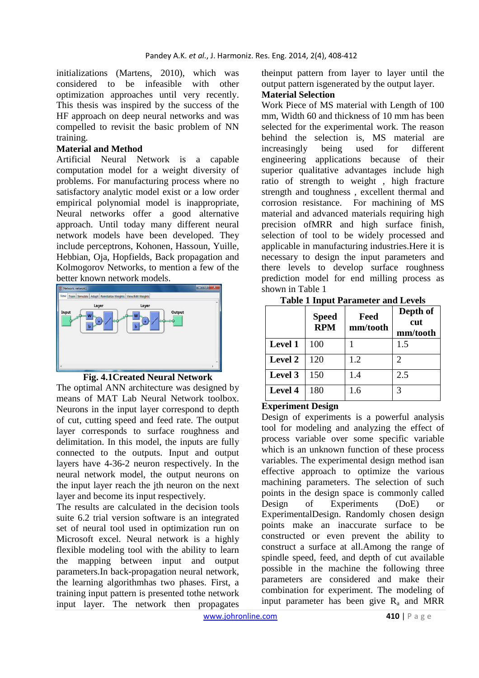initializations (Martens, 2010), which was considered to be infeasible with other optimization approaches until very recently. This thesis was inspired by the success of the HF approach on deep neural networks and was compelled to revisit the basic problem of NN training.

### **Material and Method**

Artificial Neural Network is a capable computation model for a weight diversity of problems. For manufacturing process where no satisfactory analytic model exist or a low order empirical polynomial model is inappropriate, Neural networks offer a good alternative approach. Until today many different neural network models have been developed. They include perceptrons, Kohonen, Hassoun, Yuille, Hebbian, Oja, Hopfields, Back propagation and Kolmogorov Networks, to mention a few of the better known network models.



## **Fig. 4.1Created Neural Network**

The optimal ANN architecture was designed by means of MAT Lab Neural Network toolbox. Neurons in the input layer correspond to depth of cut, cutting speed and feed rate. The output layer corresponds to surface roughness and delimitation. In this model, the inputs are fully connected to the outputs. Input and output layers have 4-36-2 neuron respectively. In the neural network model, the output neurons on the input layer reach the jth neuron on the next layer and become its input respectively.

The results are calculated in the decision tools suite 6.2 trial version software is an integrated set of neural tool used in optimization run on Microsoft excel. Neural network is a highly flexible modeling tool with the ability to learn the mapping between input and output parameters.In back-propagation neural network, the learning algorithmhas two phases. First, a training input pattern is presented tothe network input layer. The network then propagates

theinput pattern from layer to layer until the output pattern isgenerated by the output layer.

## **Material Selection**

Work Piece of MS material with Length of 100 mm, Width 60 and thickness of 10 mm has been selected for the experimental work. The reason behind the selection is, MS material are increasingly being used for different engineering applications because of their superior qualitative advantages include high ratio of strength to weight , high fracture strength and toughness , excellent thermal and corrosion resistance. For machining of MS material and advanced materials requiring high precision ofMRR and high surface finish, selection of tool to be widely processed and applicable in manufacturing industries.Here it is necessary to design the input parameters and there levels to develop surface roughness prediction model for end milling process as shown in Table 1

|                | <b>Speed</b><br><b>RPM</b> | Feed<br>mm/tooth | Depth of<br>cut<br>mm/tooth |
|----------------|----------------------------|------------------|-----------------------------|
| <b>Level 1</b> | 100                        |                  | 1.5                         |
| Level 2        | 120                        | 1.2              | $\mathcal{D}_{\mathcal{A}}$ |
| Level 3        | 150                        | 1.4              | 2.5                         |
| <b>Level 4</b> | 180                        | 1.6              | 3                           |

# **Table 1 Input Parameter and Levels**

## **Experiment Design**

Design of experiments is a powerful analysis tool for modeling and analyzing the effect of process variable over some specific variable which is an unknown function of these process variables. The experimental design method isan effective approach to optimize the various machining parameters. The selection of such points in the design space is commonly called Design of Experiments (DoE) or ExperimentalDesign. Randomly chosen design points make an inaccurate surface to be constructed or even prevent the ability to construct a surface at all.Among the range of spindle speed, feed, and depth of cut available possible in the machine the following three parameters are considered and make their combination for experiment. The modeling of input parameter has been give  $R_a$  and MRR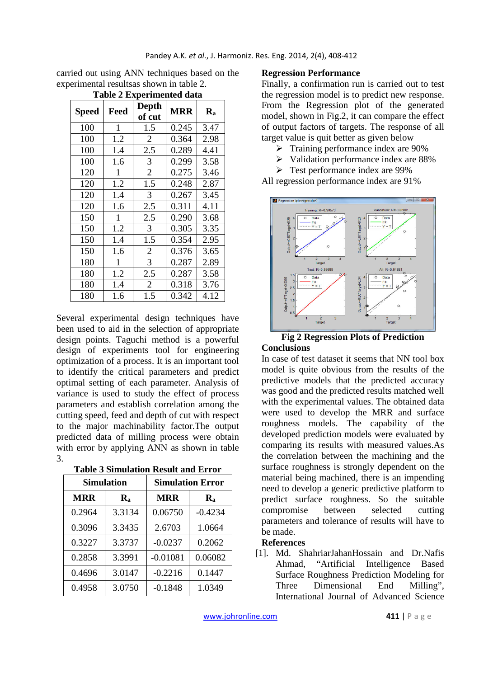| carried out using ANN techniques based on the |
|-----------------------------------------------|
| experimental results as shown in table 2.     |
|                                               |

| <b>Table 2 Experimented data</b> |              |                 |            |         |  |
|----------------------------------|--------------|-----------------|------------|---------|--|
| <b>Speed</b>                     | Feed         | Depth<br>of cut | <b>MRR</b> | $R_{a}$ |  |
| 100                              | 1            | 1.5             | 0.245      | 3.47    |  |
| 100                              | 1.2          | 2               | 0.364      | 2.98    |  |
| 100                              | 1.4          | 2.5             | 0.289      | 4.41    |  |
| 100                              | 1.6          | 3               | 0.299      | 3.58    |  |
| 120                              | 1            | $\overline{2}$  | 0.275      | 3.46    |  |
| 120                              | 1.2          | 1.5             | 0.248      | 2.87    |  |
| 120                              | 1.4          | 3               | 0.267      | 3.45    |  |
| 120                              | 1.6          | 2.5             | 0.311      | 4.11    |  |
| 150                              | 1            | 2.5             | 0.290      | 3.68    |  |
| 150                              | 1.2          | 3               | 0.305      | 3.35    |  |
| 150                              | 1.4          | 1.5             | 0.354      | 2.95    |  |
| 150                              | 1.6          | 2               | 0.376      | 3.65    |  |
| 180                              | $\mathbf{1}$ | 3               | 0.287      | 2.89    |  |
| 180                              | 1.2          | 2.5             | 0.287      | 3.58    |  |
| 180                              | 1.4          | $\overline{2}$  | 0.318      | 3.76    |  |
| 180                              | 1.6          | 1.5             | 0.342      | 4.12    |  |

Several experimental design techniques have been used to aid in the selection of appropriate design points. Taguchi method is a powerful design of experiments tool for engineering optimization of a process. It is an important tool to identify the critical parameters and predict optimal setting of each parameter. Analysis of variance is used to study the effect of process parameters and establish correlation among the cutting speed, feed and depth of cut with respect to the major machinability factor.The output predicted data of milling process were obtain with error by applying ANN as shown in table 3.

| <b>Table 3 Simulation Result and Error</b> |  |  |  |
|--------------------------------------------|--|--|--|
|                                            |  |  |  |

| <b>Simulation</b> |                                         | <b>Simulation Error</b> |                           |  |
|-------------------|-----------------------------------------|-------------------------|---------------------------|--|
| <b>MRR</b>        | <b>MRR</b><br>$\mathbf{R}_{\mathbf{a}}$ |                         | $\mathbf{R}_{\mathbf{a}}$ |  |
| 0.2964            | 3.3134                                  | 0.06750                 | $-0.4234$                 |  |
| 0.3096            | 3.3435                                  | 2.6703                  | 1.0664                    |  |
| 0.3227            | 3.3737                                  | $-0.0237$               | 0.2062                    |  |
| 0.2858            | 3.3991                                  | $-0.01081$              | 0.06082                   |  |
| 0.4696            | 3.0147                                  | $-0.2216$               | 0.1447                    |  |
| 0.4958            | 3.0750                                  | $-0.1848$               | 1.0349                    |  |

## **Regression Performance**

Finally, a confirmation run is carried out to test the regression model is to predict new response. From the Regression plot of the generated model, shown in Fig.2, it can compare the effect of output factors of targets. The response of all target value is quit better as given below

- $\triangleright$  Training performance index are 90%
- $\triangleright$  Validation performance index are 88%
- **Fest performance index are 99%**

All regression performance index are 91%



#### **Fig 2 Regression Plots of Prediction Conclusions**

In case of test dataset it seems that NN tool box model is quite obvious from the results of the predictive models that the predicted accuracy was good and the predicted results matched well with the experimental values. The obtained data were used to develop the MRR and surface roughness models. The capability of the developed prediction models were evaluated by comparing its results with measured values.As the correlation between the machining and the surface roughness is strongly dependent on the material being machined, there is an impending need to develop a generic predictive platform to predict surface roughness. So the suitable compromise between selected cutting parameters and tolerance of results will have to be made.

## **References**

[1]. Md. ShahriarJahanHossain and Dr.Nafis Ahmad, "Artificial Intelligence Based Surface Roughness Prediction Modeling for Three Dimensional End Milling", International Journal of Advanced Science